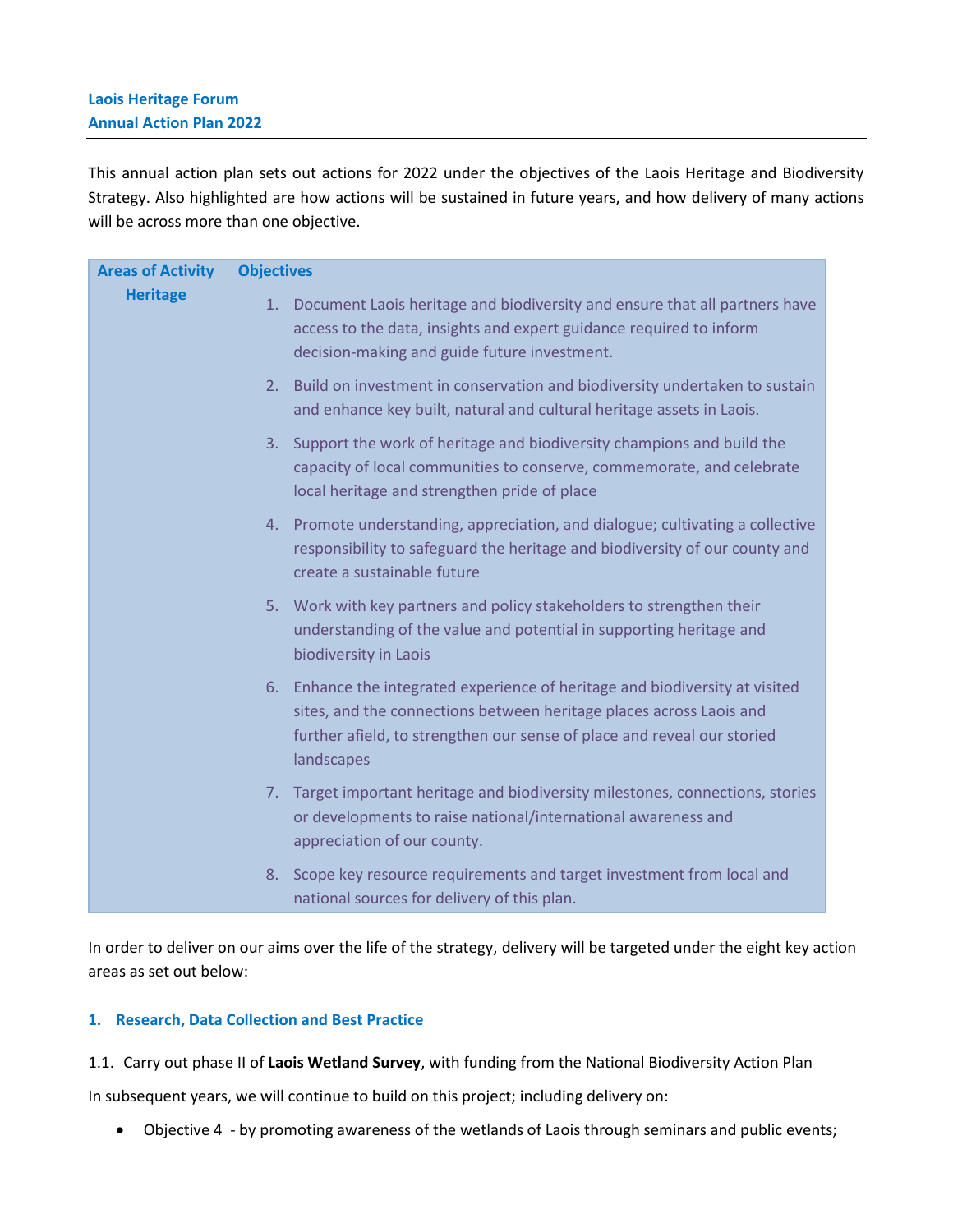This annual action plan sets out actions for 2022 under the objectives of the Laois Heritage and Biodiversity Strategy. Also highlighted are how actions will be sustained in future years, and how delivery of many actions will be across more than one objective.

| <b>Areas of Activity</b> | <b>Objectives</b>                                                                                                                                                                                                                            |
|--------------------------|----------------------------------------------------------------------------------------------------------------------------------------------------------------------------------------------------------------------------------------------|
| <b>Heritage</b>          | 1. Document Laois heritage and biodiversity and ensure that all partners have<br>access to the data, insights and expert guidance required to inform<br>decision-making and guide future investment.                                         |
|                          | 2. Build on investment in conservation and biodiversity undertaken to sustain<br>and enhance key built, natural and cultural heritage assets in Laois.                                                                                       |
|                          | 3. Support the work of heritage and biodiversity champions and build the<br>capacity of local communities to conserve, commemorate, and celebrate<br>local heritage and strengthen pride of place                                            |
|                          | 4. Promote understanding, appreciation, and dialogue; cultivating a collective<br>responsibility to safeguard the heritage and biodiversity of our county and<br>create a sustainable future                                                 |
|                          | 5. Work with key partners and policy stakeholders to strengthen their<br>understanding of the value and potential in supporting heritage and<br>biodiversity in Laois                                                                        |
|                          | 6. Enhance the integrated experience of heritage and biodiversity at visited<br>sites, and the connections between heritage places across Laois and<br>further afield, to strengthen our sense of place and reveal our storied<br>landscapes |
|                          | 7. Target important heritage and biodiversity milestones, connections, stories<br>or developments to raise national/international awareness and<br>appreciation of our county.                                                               |
|                          | Scope key resource requirements and target investment from local and<br>8.<br>national sources for delivery of this plan.                                                                                                                    |

In order to deliver on our aims over the life of the strategy, delivery will be targeted under the eight key action areas as set out below:

### **1. Research, Data Collection and Best Practice**

1.1. Carry out phase II of **Laois Wetland Survey**, with funding from the National Biodiversity Action Plan

In subsequent years, we will continue to build on this project; including delivery on:

• Objective 4 - by promoting awareness of the wetlands of Laois through seminars and public events;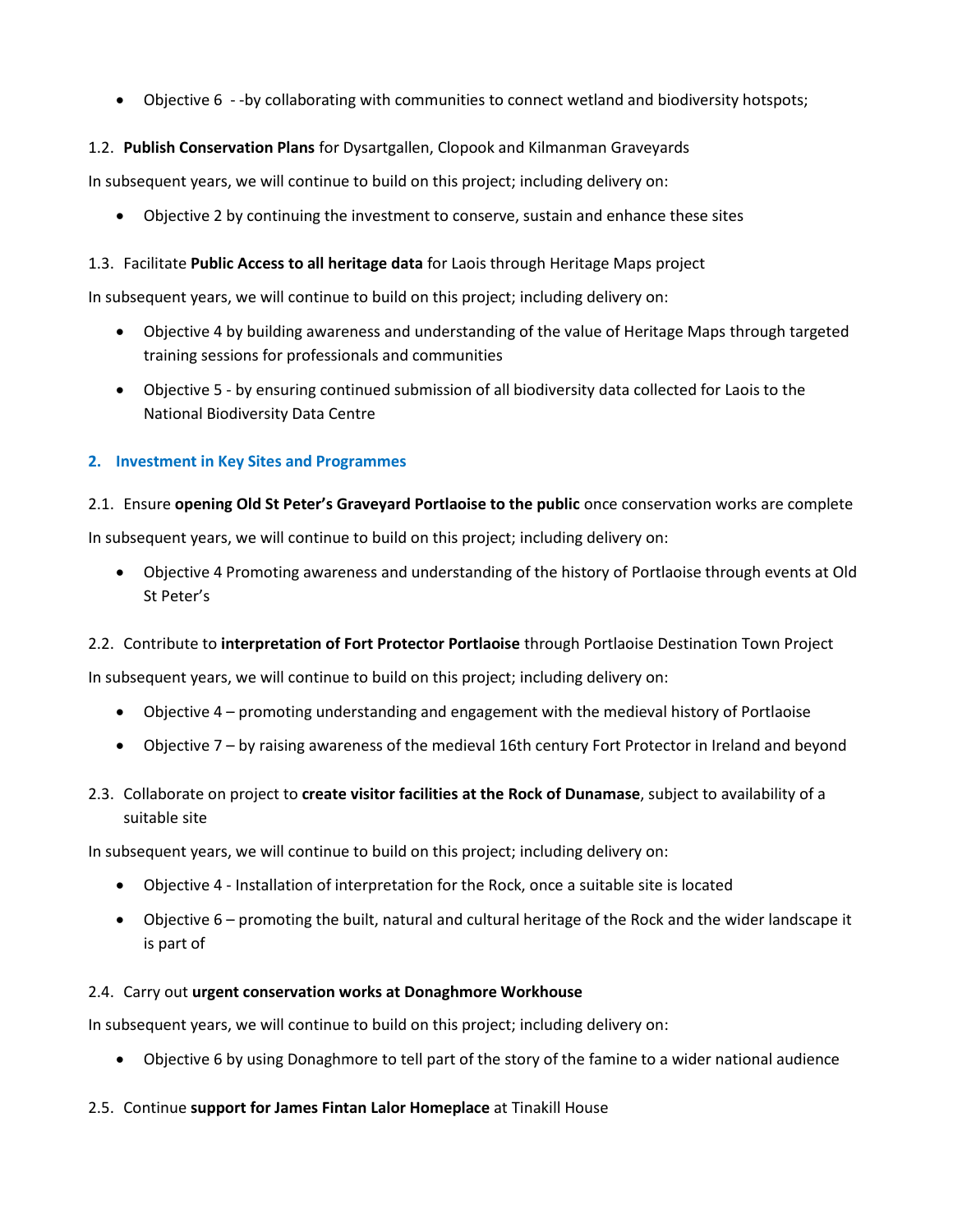• Objective 6 - -by collaborating with communities to connect wetland and biodiversity hotspots;

# 1.2. **Publish Conservation Plans** for Dysartgallen, Clopook and Kilmanman Graveyards

In subsequent years, we will continue to build on this project; including delivery on:

• Objective 2 by continuing the investment to conserve, sustain and enhance these sites

## 1.3. Facilitate **Public Access to all heritage data** for Laois through Heritage Maps project

In subsequent years, we will continue to build on this project; including delivery on:

- Objective 4 by building awareness and understanding of the value of Heritage Maps through targeted training sessions for professionals and communities
- Objective 5 by ensuring continued submission of all biodiversity data collected for Laois to the National Biodiversity Data Centre

## **2. Investment in Key Sites and Programmes**

### 2.1. Ensure **opening Old St Peter's Graveyard Portlaoise to the public** once conservation works are complete

In subsequent years, we will continue to build on this project; including delivery on:

• Objective 4 Promoting awareness and understanding of the history of Portlaoise through events at Old St Peter's

### 2.2. Contribute to **interpretation of Fort Protector Portlaoise** through Portlaoise Destination Town Project

In subsequent years, we will continue to build on this project; including delivery on:

- Objective 4 promoting understanding and engagement with the medieval history of Portlaoise
- Objective 7 by raising awareness of the medieval 16th century Fort Protector in Ireland and beyond
- 2.3. Collaborate on project to **create visitor facilities at the Rock of Dunamase**, subject to availability of a suitable site

In subsequent years, we will continue to build on this project; including delivery on:

- Objective 4 Installation of interpretation for the Rock, once a suitable site is located
- Objective 6 promoting the built, natural and cultural heritage of the Rock and the wider landscape it is part of

### 2.4. Carry out **urgent conservation works at Donaghmore Workhouse**

In subsequent years, we will continue to build on this project; including delivery on:

• Objective 6 by using Donaghmore to tell part of the story of the famine to a wider national audience

### 2.5. Continue **support for James Fintan Lalor Homeplace** at Tinakill House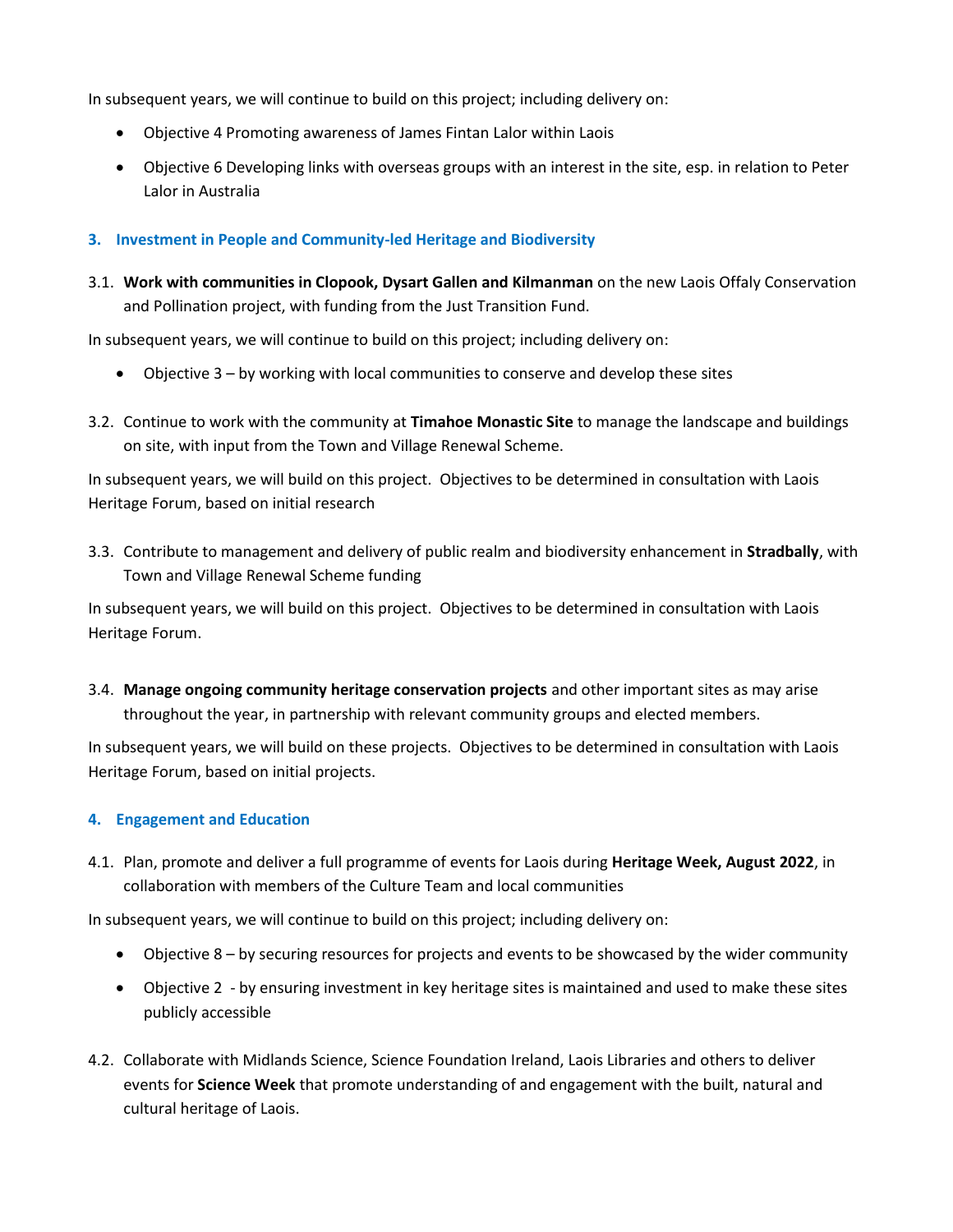In subsequent years, we will continue to build on this project; including delivery on:

- Objective 4 Promoting awareness of James Fintan Lalor within Laois
- Objective 6 Developing links with overseas groups with an interest in the site, esp. in relation to Peter Lalor in Australia

### **3. Investment in People and Community-led Heritage and Biodiversity**

3.1. **Work with communities in Clopook, Dysart Gallen and Kilmanman** on the new Laois Offaly Conservation and Pollination project, with funding from the Just Transition Fund.

In subsequent years, we will continue to build on this project; including delivery on:

- Objective 3 by working with local communities to conserve and develop these sites
- 3.2. Continue to work with the community at **Timahoe Monastic Site** to manage the landscape and buildings on site, with input from the Town and Village Renewal Scheme.

In subsequent years, we will build on this project. Objectives to be determined in consultation with Laois Heritage Forum, based on initial research

3.3. Contribute to management and delivery of public realm and biodiversity enhancement in **Stradbally**, with Town and Village Renewal Scheme funding

In subsequent years, we will build on this project. Objectives to be determined in consultation with Laois Heritage Forum.

3.4. **Manage ongoing community heritage conservation projects** and other important sites as may arise throughout the year, in partnership with relevant community groups and elected members.

In subsequent years, we will build on these projects. Objectives to be determined in consultation with Laois Heritage Forum, based on initial projects.

### **4. Engagement and Education**

4.1. Plan, promote and deliver a full programme of events for Laois during **Heritage Week, August 2022**, in collaboration with members of the Culture Team and local communities

In subsequent years, we will continue to build on this project; including delivery on:

- Objective 8 by securing resources for projects and events to be showcased by the wider community
- Objective 2 by ensuring investment in key heritage sites is maintained and used to make these sites publicly accessible
- 4.2. Collaborate with Midlands Science, Science Foundation Ireland, Laois Libraries and others to deliver events for **Science Week** that promote understanding of and engagement with the built, natural and cultural heritage of Laois.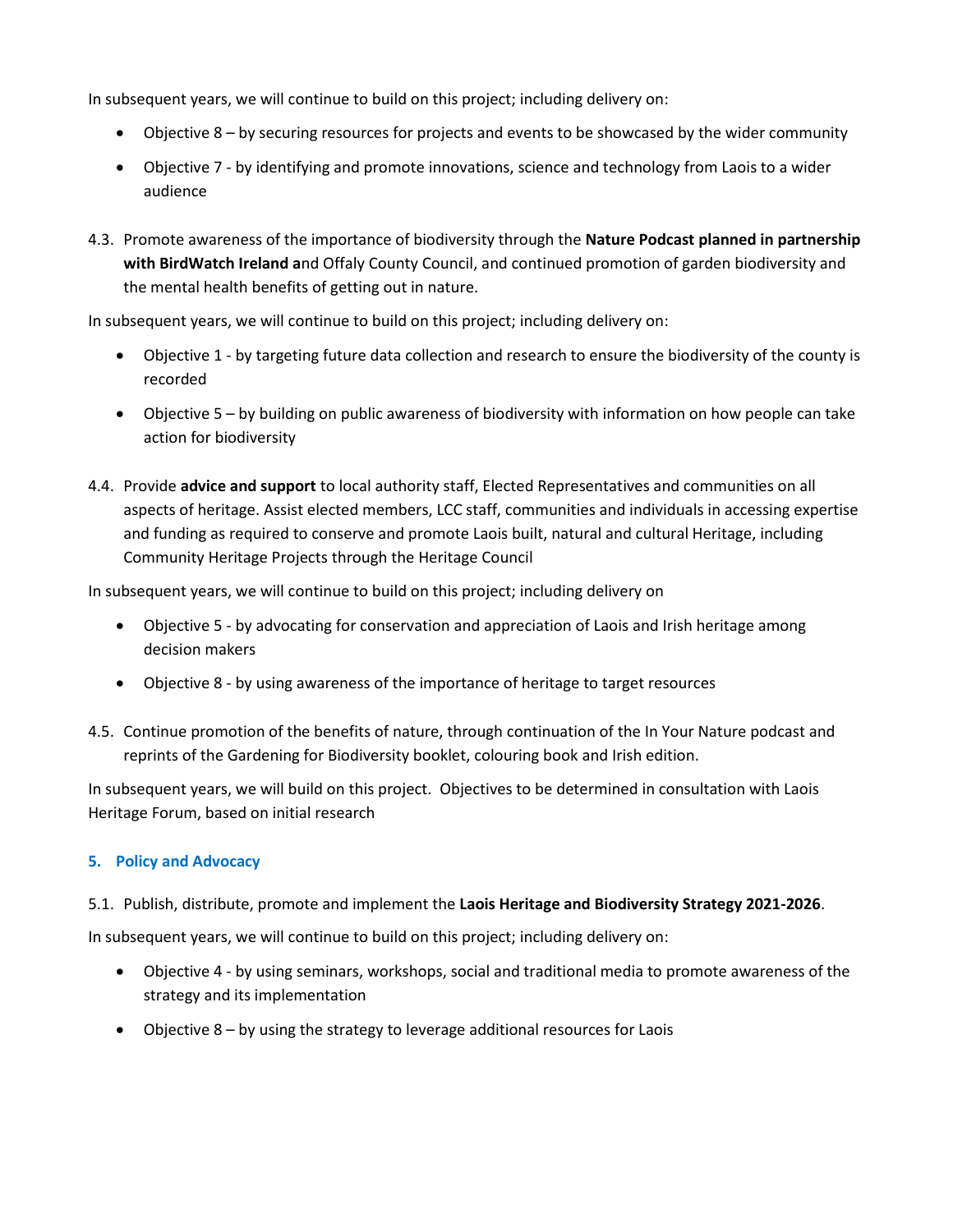In subsequent years, we will continue to build on this project; including delivery on:

- Objective 8 by securing resources for projects and events to be showcased by the wider community
- Objective 7 by identifying and promote innovations, science and technology from Laois to a wider audience
- 4.3. Promote awareness of the importance of biodiversity through the **Nature Podcast planned in partnership with BirdWatch Ireland a**nd Offaly County Council, and continued promotion of garden biodiversity and the mental health benefits of getting out in nature.

In subsequent years, we will continue to build on this project; including delivery on:

- Objective 1 by targeting future data collection and research to ensure the biodiversity of the county is recorded
- Objective 5 by building on public awareness of biodiversity with information on how people can take action for biodiversity
- 4.4. Provide **advice and support** to local authority staff, Elected Representatives and communities on all aspects of heritage. Assist elected members, LCC staff, communities and individuals in accessing expertise and funding as required to conserve and promote Laois built, natural and cultural Heritage, including Community Heritage Projects through the Heritage Council

In subsequent years, we will continue to build on this project; including delivery on

- Objective 5 by advocating for conservation and appreciation of Laois and Irish heritage among decision makers
- Objective 8 by using awareness of the importance of heritage to target resources
- 4.5. Continue promotion of the benefits of nature, through continuation of the In Your Nature podcast and reprints of the Gardening for Biodiversity booklet, colouring book and Irish edition.

In subsequent years, we will build on this project. Objectives to be determined in consultation with Laois Heritage Forum, based on initial research

### **5. Policy and Advocacy**

### 5.1. Publish, distribute, promote and implement the **Laois Heritage and Biodiversity Strategy 2021-2026**.

In subsequent years, we will continue to build on this project; including delivery on:

- Objective 4 by using seminars, workshops, social and traditional media to promote awareness of the strategy and its implementation
- Objective 8 by using the strategy to leverage additional resources for Laois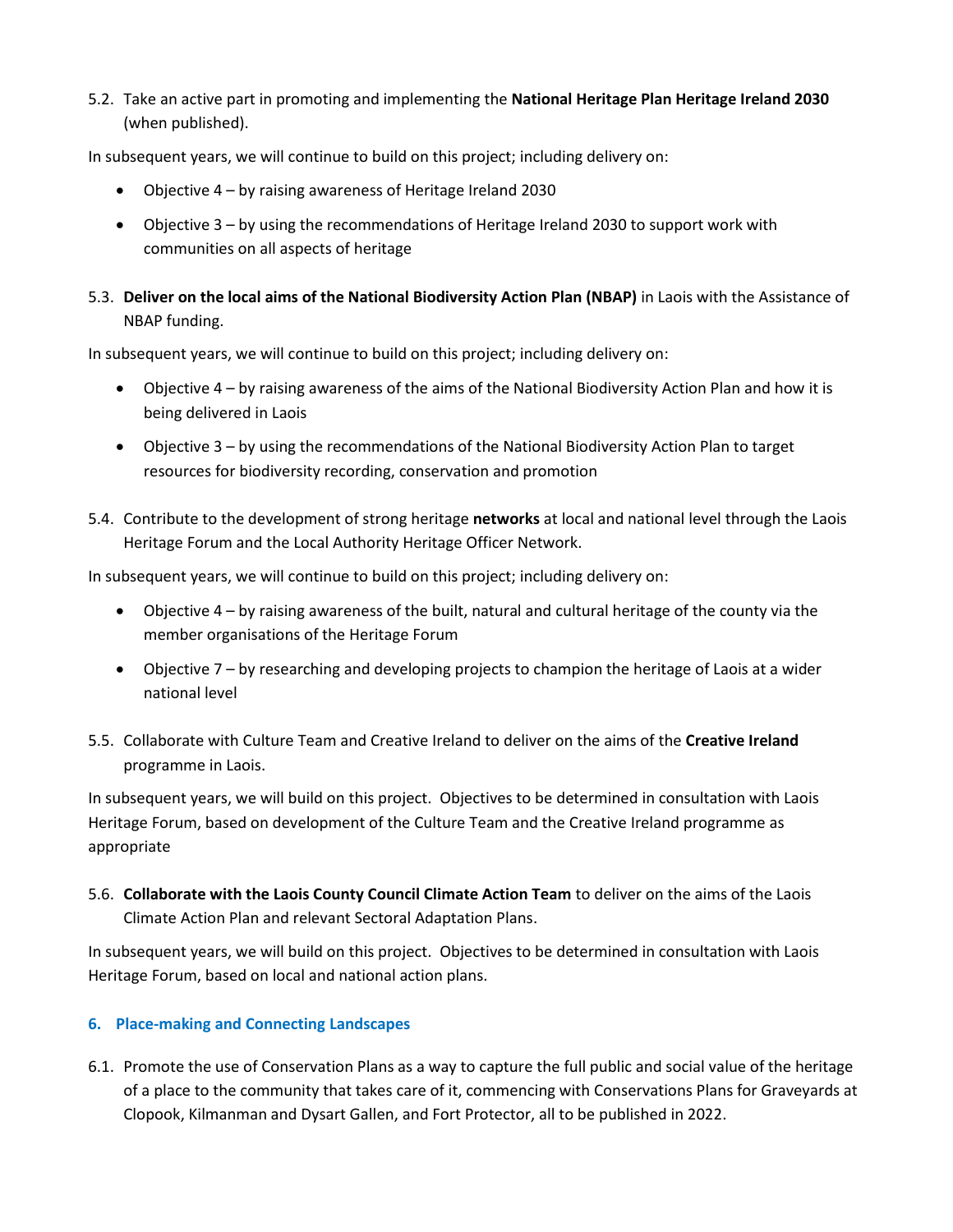5.2. Take an active part in promoting and implementing the **National Heritage Plan Heritage Ireland 2030** (when published).

In subsequent years, we will continue to build on this project; including delivery on:

- Objective 4 by raising awareness of Heritage Ireland 2030
- Objective 3 by using the recommendations of Heritage Ireland 2030 to support work with communities on all aspects of heritage
- 5.3. **Deliver on the local aims of the National Biodiversity Action Plan (NBAP)** in Laois with the Assistance of NBAP funding.

In subsequent years, we will continue to build on this project; including delivery on:

- Objective 4 by raising awareness of the aims of the National Biodiversity Action Plan and how it is being delivered in Laois
- Objective 3 by using the recommendations of the National Biodiversity Action Plan to target resources for biodiversity recording, conservation and promotion
- 5.4. Contribute to the development of strong heritage **networks** at local and national level through the Laois Heritage Forum and the Local Authority Heritage Officer Network.

In subsequent years, we will continue to build on this project; including delivery on:

- Objective 4 by raising awareness of the built, natural and cultural heritage of the county via the member organisations of the Heritage Forum
- Objective 7 by researching and developing projects to champion the heritage of Laois at a wider national level
- 5.5. Collaborate with Culture Team and Creative Ireland to deliver on the aims of the **Creative Ireland** programme in Laois.

In subsequent years, we will build on this project. Objectives to be determined in consultation with Laois Heritage Forum, based on development of the Culture Team and the Creative Ireland programme as appropriate

5.6. **Collaborate with the Laois County Council Climate Action Team** to deliver on the aims of the Laois Climate Action Plan and relevant Sectoral Adaptation Plans.

In subsequent years, we will build on this project. Objectives to be determined in consultation with Laois Heritage Forum, based on local and national action plans.

### **6. Place-making and Connecting Landscapes**

6.1. Promote the use of Conservation Plans as a way to capture the full public and social value of the heritage of a place to the community that takes care of it, commencing with Conservations Plans for Graveyards at Clopook, Kilmanman and Dysart Gallen, and Fort Protector, all to be published in 2022.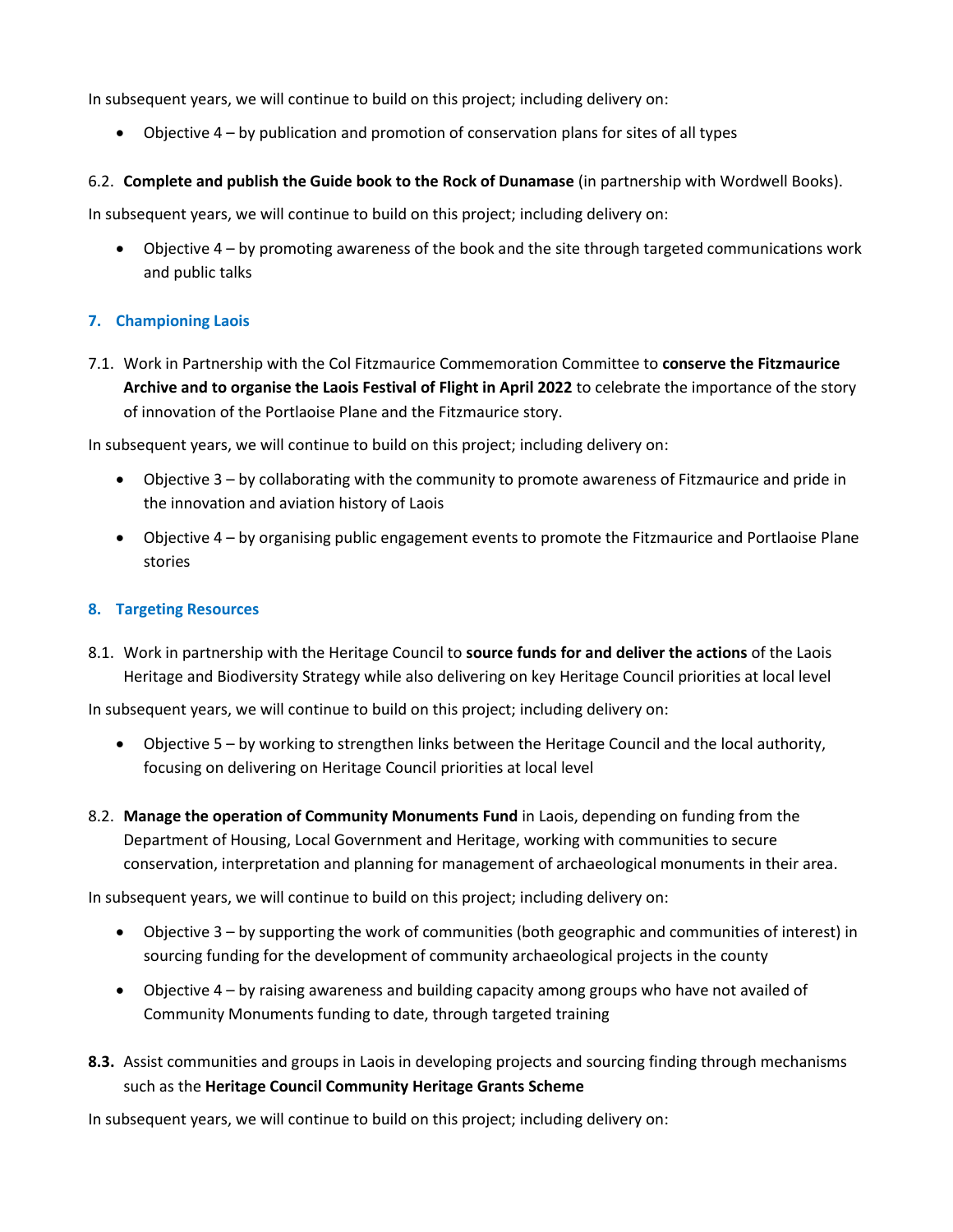In subsequent years, we will continue to build on this project; including delivery on:

• Objective 4 – by publication and promotion of conservation plans for sites of all types

### 6.2. **Complete and publish the Guide book to the Rock of Dunamase** (in partnership with Wordwell Books).

In subsequent years, we will continue to build on this project; including delivery on:

• Objective 4 – by promoting awareness of the book and the site through targeted communications work and public talks

### **7. Championing Laois**

7.1. Work in Partnership with the Col Fitzmaurice Commemoration Committee to **conserve the Fitzmaurice Archive and to organise the Laois Festival of Flight in April 2022** to celebrate the importance of the story of innovation of the Portlaoise Plane and the Fitzmaurice story.

In subsequent years, we will continue to build on this project; including delivery on:

- Objective 3 by collaborating with the community to promote awareness of Fitzmaurice and pride in the innovation and aviation history of Laois
- Objective 4 by organising public engagement events to promote the Fitzmaurice and Portlaoise Plane stories

#### **8. Targeting Resources**

8.1. Work in partnership with the Heritage Council to **source funds for and deliver the actions** of the Laois Heritage and Biodiversity Strategy while also delivering on key Heritage Council priorities at local level

In subsequent years, we will continue to build on this project; including delivery on:

- Objective 5 by working to strengthen links between the Heritage Council and the local authority, focusing on delivering on Heritage Council priorities at local level
- 8.2. **Manage the operation of Community Monuments Fund** in Laois, depending on funding from the Department of Housing, Local Government and Heritage, working with communities to secure conservation, interpretation and planning for management of archaeological monuments in their area.

In subsequent years, we will continue to build on this project; including delivery on:

- Objective 3 by supporting the work of communities (both geographic and communities of interest) in sourcing funding for the development of community archaeological projects in the county
- Objective 4 by raising awareness and building capacity among groups who have not availed of Community Monuments funding to date, through targeted training
- **8.3.** Assist communities and groups in Laois in developing projects and sourcing finding through mechanisms such as the **Heritage Council Community Heritage Grants Scheme**

In subsequent years, we will continue to build on this project; including delivery on: